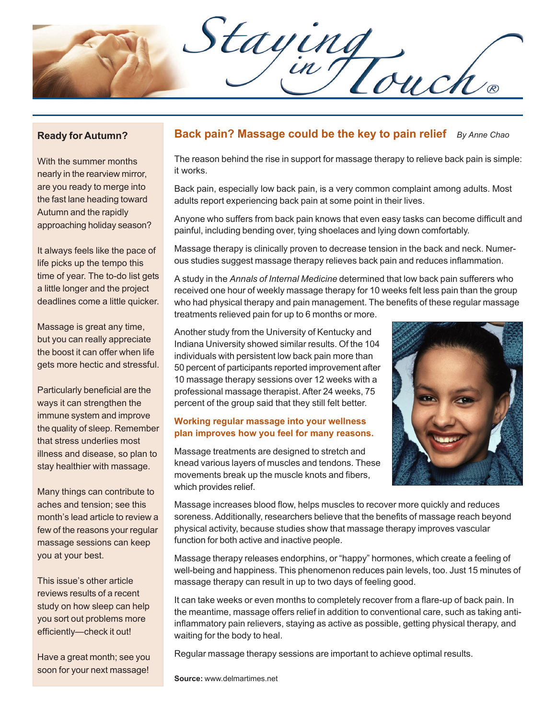Staying

#### **Ready for Autumn?**

With the summer months nearly in the rearview mirror, are you ready to merge into the fast lane heading toward Autumn and the rapidly approaching holiday season?

It always feels like the pace of life picks up the tempo this time of year. The to-do list gets a little longer and the project deadlines come a little quicker.

Massage is great any time, but you can really appreciate the boost it can offer when life gets more hectic and stressful.

Particularly beneficial are the ways it can strengthen the immune system and improve the quality of sleep. Remember that stress underlies most illness and disease, so plan to stay healthier with massage.

Many things can contribute to aches and tension; see this month's lead article to review a few of the reasons your regular massage sessions can keep you at your best.

This issue's other article reviews results of a recent study on how sleep can help you sort out problems more efficiently—check it out!

Have a great month; see you soon for your next massage!

### **Back pain? Massage could be the key to pain relief** *By Anne Chao*

The reason behind the rise in support for massage therapy to relieve back pain is simple: it works.

Back pain, especially low back pain, is a very common complaint among adults. Most adults report experiencing back pain at some point in their lives.

Anyone who suffers from back pain knows that even easy tasks can become difficult and painful, including bending over, tying shoelaces and lying down comfortably.

Massage therapy is clinically proven to decrease tension in the back and neck. Numerous studies suggest massage therapy relieves back pain and reduces inflammation.

A study in the *Annals of Internal Medicine* determined that low back pain sufferers who received one hour of weekly massage therapy for 10 weeks felt less pain than the group who had physical therapy and pain management. The benefits of these regular massage treatments relieved pain for up to 6 months or more.

Another study from the University of Kentucky and Indiana University showed similar results. Of the 104 individuals with persistent low back pain more than 50 percent of participants reported improvement after 10 massage therapy sessions over 12 weeks with a professional massage therapist. After 24 weeks, 75 percent of the group said that they still felt better.

#### **Working regular massage into your wellness plan improves how you feel for many reasons.**

Massage treatments are designed to stretch and knead various layers of muscles and tendons. These movements break up the muscle knots and fibers, which provides relief.



Massage increases blood flow, helps muscles to recover more quickly and reduces soreness. Additionally, researchers believe that the benefits of massage reach beyond physical activity, because studies show that massage therapy improves vascular function for both active and inactive people.

Massage therapy releases endorphins, or "happy" hormones, which create a feeling of well-being and happiness. This phenomenon reduces pain levels, too. Just 15 minutes of massage therapy can result in up to two days of feeling good.

It can take weeks or even months to completely recover from a flare-up of back pain. In the meantime, massage offers relief in addition to conventional care, such as taking antiinflammatory pain relievers, staying as active as possible, getting physical therapy, and waiting for the body to heal.

Regular massage therapy sessions are important to achieve optimal results.

**Source:** www.delmartimes.net